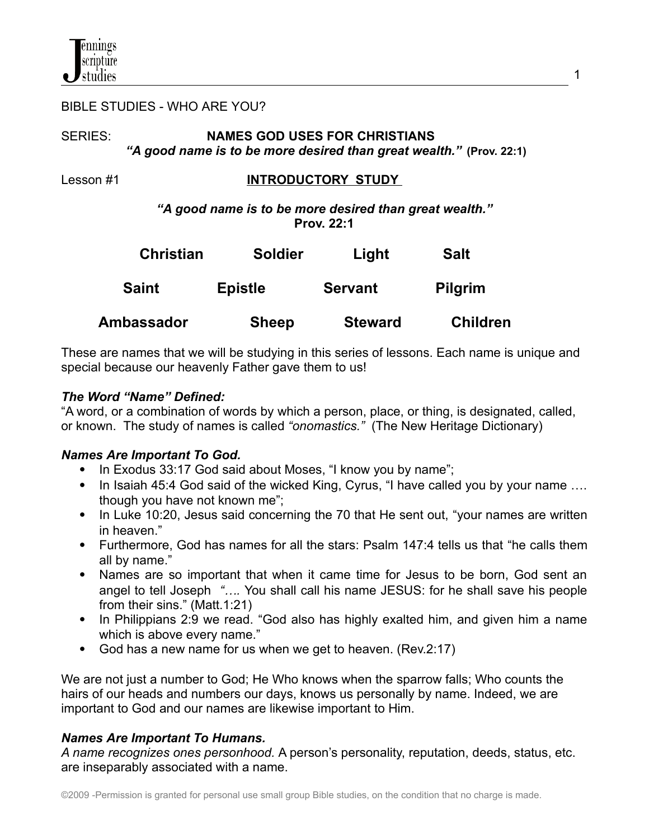#### BIBLE STUDIES - WHO ARE YOU?

## SERIES: **NAMES GOD USES FOR CHRISTIANS** *"A good name is to be more desired than great wealth."* **(Prov. 22:1)**

## Lesson #1 **INTRODUCTORY STUDY**

*"A good name is to be more desired than great wealth."* **Prov. 22:1**

| <b>Christian</b><br><b>Saint</b> | <b>Soldier</b><br><b>Epistle</b> | Light<br><b>Servant</b> | <b>Salt</b><br><b>Pilgrim</b> |
|----------------------------------|----------------------------------|-------------------------|-------------------------------|
|                                  |                                  |                         |                               |

These are names that we will be studying in this series of lessons. Each name is unique and special because our heavenly Father gave them to us!

### *The Word "Name" Defined:*

"A word, or a combination of words by which a person, place, or thing, is designated, called, or known. The study of [names](http://www.behindthename.com/glossary/view/name) is called *["onomastics.](http://www.behindthename.com/glossary/view/onomastics)"* (The New Heritage Dictionary)

### *Names Are Important To God.*

- In Exodus 33:17 God said about Moses, "I know you by name";
- In Isaiah 45:4 God said of the wicked King, Cyrus, "I have called you by your name .... though you have not known me";
- In Luke 10:20, Jesus said concerning the 70 that He sent out, "your names are written in heaven."
- Furthermore, God has names for all the stars: Psalm 147:4 tells us that "he calls them all by name."
- Names are so important that when it came time for Jesus to be born, God sent an angel to tell Joseph *"….* You shall call his name JESUS: for he shall save his people from their sins." (Matt.1:21)
- In Philippians 2:9 we read. "God also has highly exalted him, and given him a name which is above every name."
- God has a new name for us when we get to heaven. (Rev.2:17)

We are not just a number to God; He Who knows when the sparrow falls; Who counts the hairs of our heads and numbers our days, knows us personally by name. Indeed, we are important to God and our names are likewise important to Him.

# *Names Are Important To Humans.*

*A name recognizes ones personhood.* A person's personality, reputation, deeds, status, etc. are inseparably associated with a name.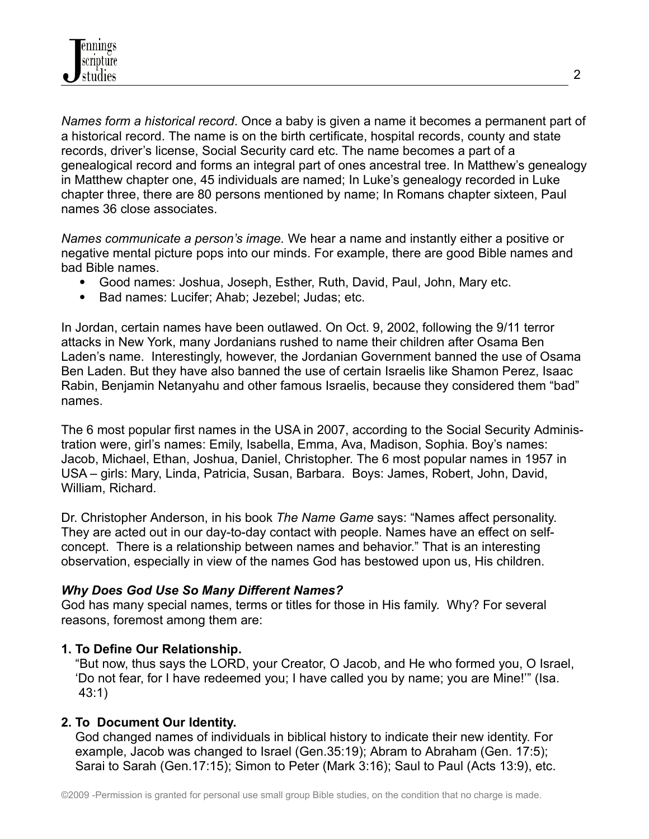*Names form a historical record*. Once a baby is given a name it becomes a permanent part of a historical record. The name is on the birth certificate, hospital records, county and state records, driver's license, Social Security card etc. The name becomes a part of a genealogical record and forms an integral part of ones ancestral tree. In Matthew's genealogy in Matthew chapter one, 45 individuals are named; In Luke's genealogy recorded in Luke chapter three, there are 80 persons mentioned by name; In Romans chapter sixteen, Paul names 36 close associates.

*Names communicate a person's image.* We hear a name and instantly either a positive or negative mental picture pops into our minds. For example, there are good Bible names and bad Bible names.

- Good names: Joshua, Joseph, Esther, Ruth, David, Paul, John, Mary etc.
- Bad names: Lucifer; Ahab; Jezebel; Judas; etc.

In Jordan, certain names have been outlawed. On Oct. 9, 2002, following the 9/11 terror attacks in New York, many Jordanians rushed to name their children after Osama Ben Laden's name. Interestingly, however, the Jordanian Government banned the use of Osama Ben Laden. But they have also banned the use of certain Israelis like Shamon Perez, Isaac Rabin, Benjamin Netanyahu and other famous Israelis, because they considered them "bad" names.

The 6 most popular first names in the USA in 2007, according to the Social Security Administration were, girl's names: Emily, Isabella, Emma, Ava, Madison, Sophia. Boy's names: Jacob, Michael, Ethan, Joshua, Daniel, Christopher. The 6 most popular names in 1957 in USA – girls: Mary, Linda, Patricia, Susan, Barbara. Boys: James, Robert, John, David, William, Richard.

Dr. Christopher Anderson, in his book *The Name Game* says: "Names affect personality. They are acted out in our day-to-day contact with people. Names have an effect on selfconcept. There is a relationship between names and behavior." That is an interesting observation, especially in view of the names God has bestowed upon us, His children.

### *Why Does God Use So Many Different Names?*

God has many special names, terms or titles for those in His family. Why? For several reasons, foremost among them are:

# **1. To Define Our Relationship.**

"But now, thus says the LORD, your Creator, O Jacob, and He who formed you, O Israel, 'Do not fear, for I have redeemed you; I have called you by name; you are Mine!'" (Isa. 43:1)

# **2. To Document Our Identity.**

God changed names of individuals in biblical history to indicate their new identity. For example, Jacob was changed to Israel (Gen.35:19); Abram to Abraham (Gen. 17:5); Sarai to Sarah (Gen.17:15); Simon to Peter (Mark 3:16); Saul to Paul (Acts 13:9), etc.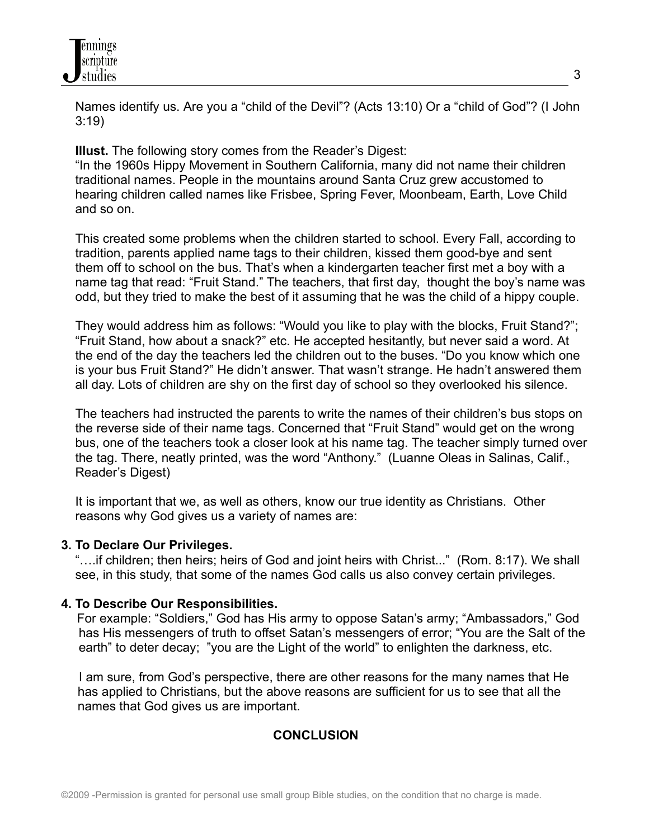

Names identify us. Are you a "child of the Devil"? (Acts 13:10) Or a "child of God"? (I John 3:19)

**Illust.** The following story comes from the Reader's Digest:

"In the 1960s Hippy Movement in Southern California, many did not name their children traditional names. People in the mountains around Santa Cruz grew accustomed to hearing children called names like Frisbee, Spring Fever, Moonbeam, Earth, Love Child and so on.

This created some problems when the children started to school. Every Fall, according to tradition, parents applied name tags to their children, kissed them good-bye and sent them off to school on the bus. That's when a kindergarten teacher first met a boy with a name tag that read: "Fruit Stand." The teachers, that first day, thought the boy's name was odd, but they tried to make the best of it assuming that he was the child of a hippy couple.

They would address him as follows: "Would you like to play with the blocks, Fruit Stand?"; "Fruit Stand, how about a snack?" etc. He accepted hesitantly, but never said a word. At the end of the day the teachers led the children out to the buses. "Do you know which one is your bus Fruit Stand?" He didn't answer. That wasn't strange. He hadn't answered them all day. Lots of children are shy on the first day of school so they overlooked his silence.

The teachers had instructed the parents to write the names of their children's bus stops on the reverse side of their name tags. Concerned that "Fruit Stand" would get on the wrong bus, one of the teachers took a closer look at his name tag. The teacher simply turned over the tag. There, neatly printed, was the word "Anthony." (Luanne Oleas in Salinas, Calif., Reader's Digest)

It is important that we, as well as others, know our true identity as Christians. Other reasons why God gives us a variety of names are:

#### **3. To Declare Our Privileges.**

"….if children; then heirs; heirs of God and joint heirs with Christ..." (Rom. 8:17). We shall see, in this study, that some of the names God calls us also convey certain privileges.

### **4. To Describe Our Responsibilities.**

For example: "Soldiers," God has His army to oppose Satan's army; "Ambassadors," God has His messengers of truth to offset Satan's messengers of error; "You are the Salt of the earth" to deter decay; "you are the Light of the world" to enlighten the darkness, etc.

I am sure, from God's perspective, there are other reasons for the many names that He has applied to Christians, but the above reasons are sufficient for us to see that all the names that God gives us are important.

### **CONCLUSION**

3